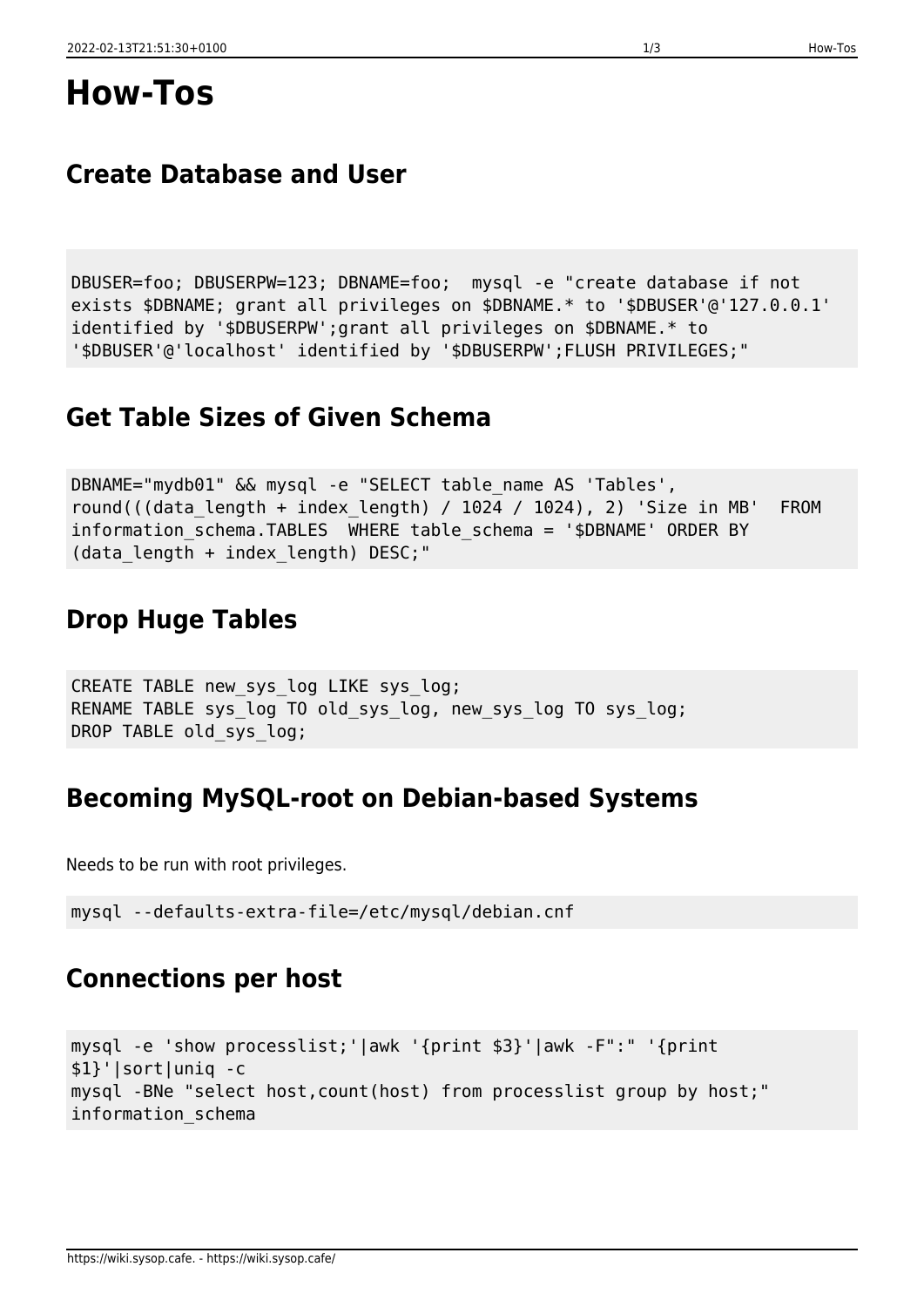# **Create Database and User**

DBUSER=foo; DBUSERPW=123; DBNAME=foo; mysql -e "create database if not exists \$DBNAME; grant all privileges on \$DBNAME.\* to '\$DBUSER'@'127.0.0.1' identified by '\$DBUSERPW';grant all privileges on \$DBNAME.\* to '\$DBUSER'@'localhost' identified by '\$DBUSERPW';FLUSH PRIVILEGES;"

## **Get Table Sizes of Given Schema**

```
DBNAME="mydb01" && mysql -e "SELECT table_name AS 'Tables',
round(((data length + index length) / 1024 / 1024), 2) 'Size in MB' FROM
information schema.TABLES WHERE table schema = '$DBNAME' ORDER BY
(data length + index length) DESC;"
```
# **Drop Huge Tables**

```
CREATE TABLE new sys log LIKE sys log;
RENAME TABLE sys log TO old sys log, new sys log TO sys log;
DROP TABLE old sys log;
```
### **Becoming MySQL-root on Debian-based Systems**

Needs to be run with root privileges.

```
mysql --defaults-extra-file=/etc/mysql/debian.cnf
```
## **Connections per host**

```
mysql -e 'show processlist;'|awk '{print $3}'|awk -F":" '{print
$1}'|sort|uniq -c
mysql -BNe "select host,count(host) from processlist group by host;"
information_schema
```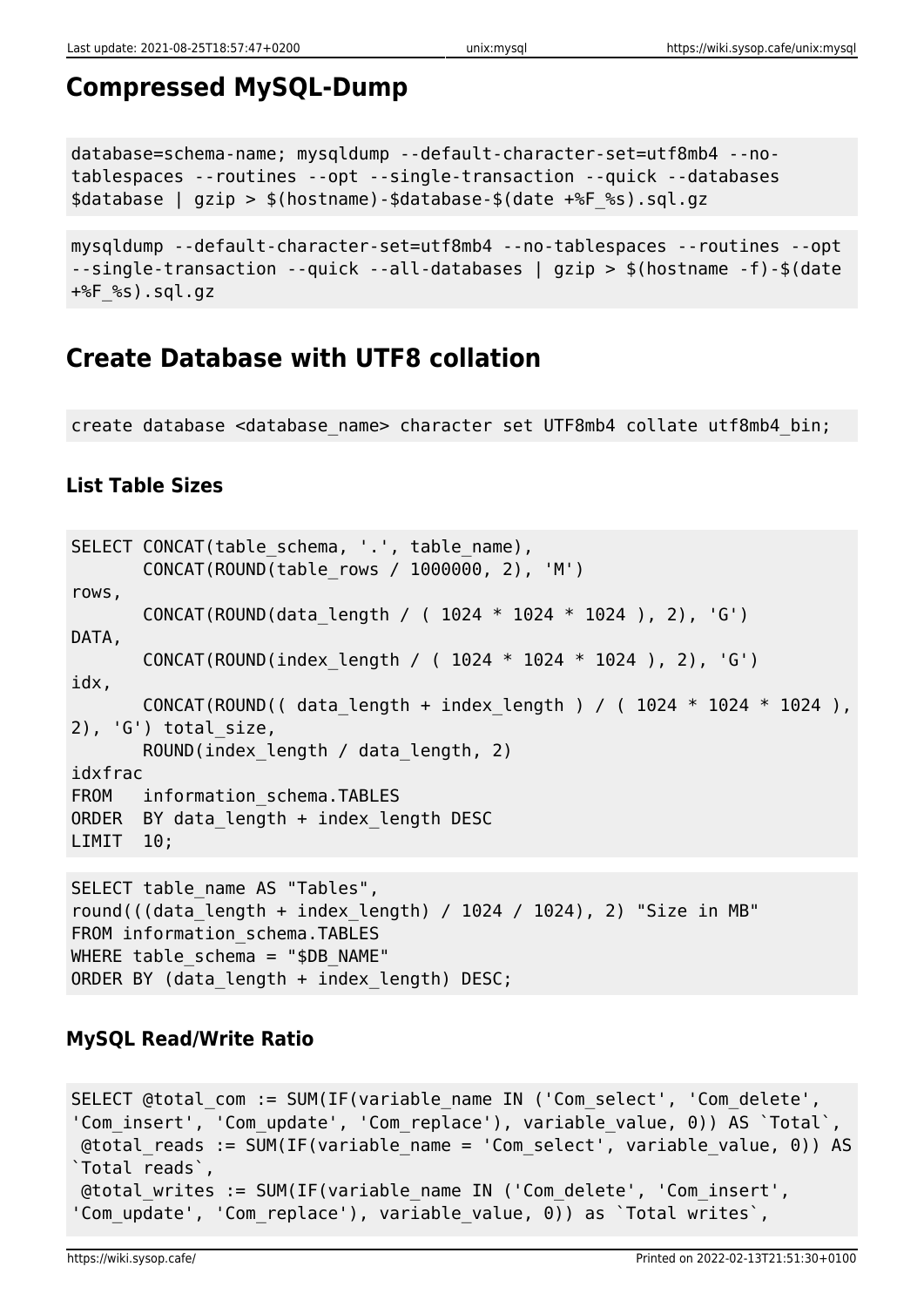## **Compressed MySQL-Dump**

```
database=schema-name; mysqldump --default-character-set=utf8mb4 --no-
tablespaces --routines --opt --single-transaction --quick --databases
$database | gzip > $(hostname)-$database-$(date +%F_%s).sql.gz
```

```
mysqldump --default-character-set=utf8mb4 --no-tablespaces --routines --opt
--single-transaction --quick --all-databases | gzip > $(hostname -f)-$(date
+%F%s).sql.gz
```
#### **Create Database with UTF8 collation**

create database <database\_name> character set UTF8mb4 collate utf8mb4\_bin;

#### **List Table Sizes**

```
SELECT CONCAT(table_schema, '.', table_name),
        CONCAT(ROUND(table_rows / 1000000, 2), 'M')
rows,
        CONCAT(ROUND(data_length / ( 1024 * 1024 * 1024 ), 2), 'G')
DATA,
        CONCAT(ROUND(index_length / ( 1024 * 1024 * 1024 ), 2), 'G')
idx,
       CONCAT(ROUND(( data length + index length ) / ( 1024 * 1024 * 1024 ),
2), 'G') total size,
        ROUND(index_length / data_length, 2)
idxfrac
FROM information schema.TABLES
ORDER BY data_length + index_length DESC
LIMIT 10;
SELECT table name AS "Tables",
round(((data_length + index_length) / 1024 / 1024), 2) "Size in MB"
FROM information schema.TABLES
WHERE table schema = "$DB NAME"
ORDER BY (data length + index length) DESC;
```
#### **MySQL Read/Write Ratio**

```
SELECT @total com := SUM(IF(variable name IN ('Com select', 'Com delete',
'Com_insert', 'Com_update', 'Com_replace'), variable_value, 0)) AS `Total`,
 @total_reads := SUM(IF(variable_name = 'Com_select', variable_value, 0)) AS
`Total reads`,
 @total_writes := SUM(IF(variable_name IN ('Com_delete', 'Com_insert',
'Com update', 'Com replace'), variable value, 0)) as `Total writes`,
```